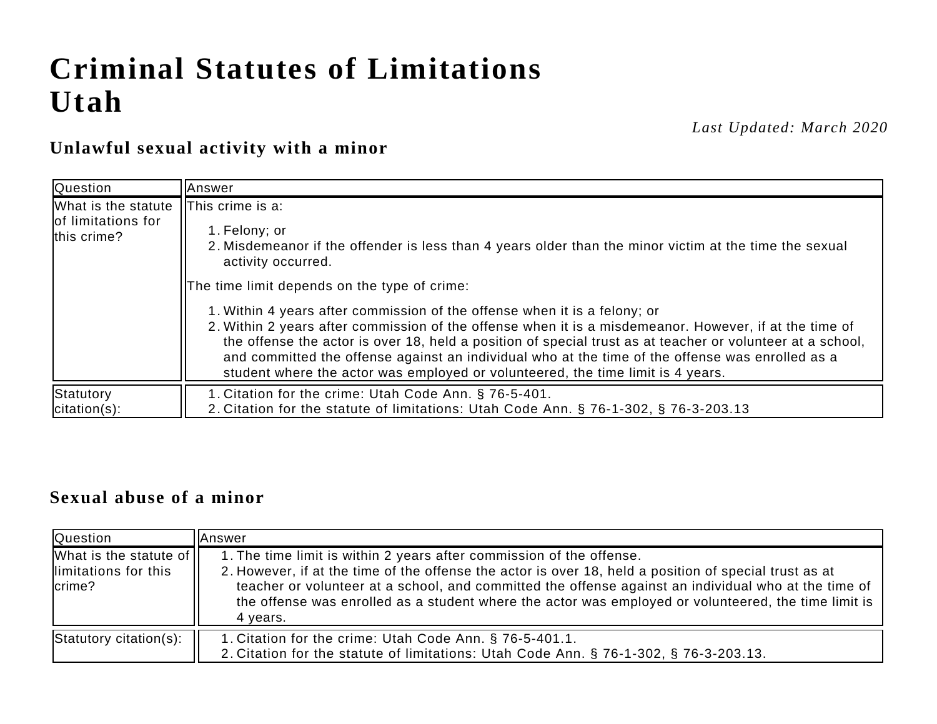# **Criminal Statutes of Limitations Utah**

*Last Updated: March 2020*

#### **Unlawful sexual activity with a minor**

| Question                                                 | lAnswer                                                                                                                                                                                                                                                                                                                                                                                                                                                                                                                                                                                                                                                                                                               |
|----------------------------------------------------------|-----------------------------------------------------------------------------------------------------------------------------------------------------------------------------------------------------------------------------------------------------------------------------------------------------------------------------------------------------------------------------------------------------------------------------------------------------------------------------------------------------------------------------------------------------------------------------------------------------------------------------------------------------------------------------------------------------------------------|
| What is the statute<br>of limitations for<br>this crime? | <b>IThis crime is a:</b><br>1. Felony; or<br>2. Misdemeanor if the offender is less than 4 years older than the minor victim at the time the sexual<br>activity occurred.<br>The time limit depends on the type of crime:<br>1. Within 4 years after commission of the offense when it is a felony; or<br>2. Within 2 years after commission of the offense when it is a misdemeanor. However, if at the time of<br>the offense the actor is over 18, held a position of special trust as at teacher or volunteer at a school,<br>and committed the offense against an individual who at the time of the offense was enrolled as a<br>student where the actor was employed or volunteered, the time limit is 4 years. |
| Statutory<br>$ citation(s) $ :                           | 1. Citation for the crime: Utah Code Ann. § 76-5-401.<br>2. Citation for the statute of limitations: Utah Code Ann. § 76-1-302, § 76-3-203.13                                                                                                                                                                                                                                                                                                                                                                                                                                                                                                                                                                         |

#### **Sexual abuse of a minor**

| Question                                                         | lAnswer                                                                                                                                                                                                                                                                                                                                                                                                    |
|------------------------------------------------------------------|------------------------------------------------------------------------------------------------------------------------------------------------------------------------------------------------------------------------------------------------------------------------------------------------------------------------------------------------------------------------------------------------------------|
| What is the statute of   <br>llimitations for this<br>$l$ crime? | 1. The time limit is within 2 years after commission of the offense.<br>2. However, if at the time of the offense the actor is over 18, held a position of special trust as at<br>teacher or volunteer at a school, and committed the offense against an individual who at the time of<br>the offense was enrolled as a student where the actor was employed or volunteered, the time limit is<br>4 vears. |
| Statutory citation(s):                                           | 1. Citation for the crime: Utah Code Ann. § 76-5-401.1.<br>2. Citation for the statute of limitations: Utah Code Ann. § 76-1-302, § 76-3-203.13.                                                                                                                                                                                                                                                           |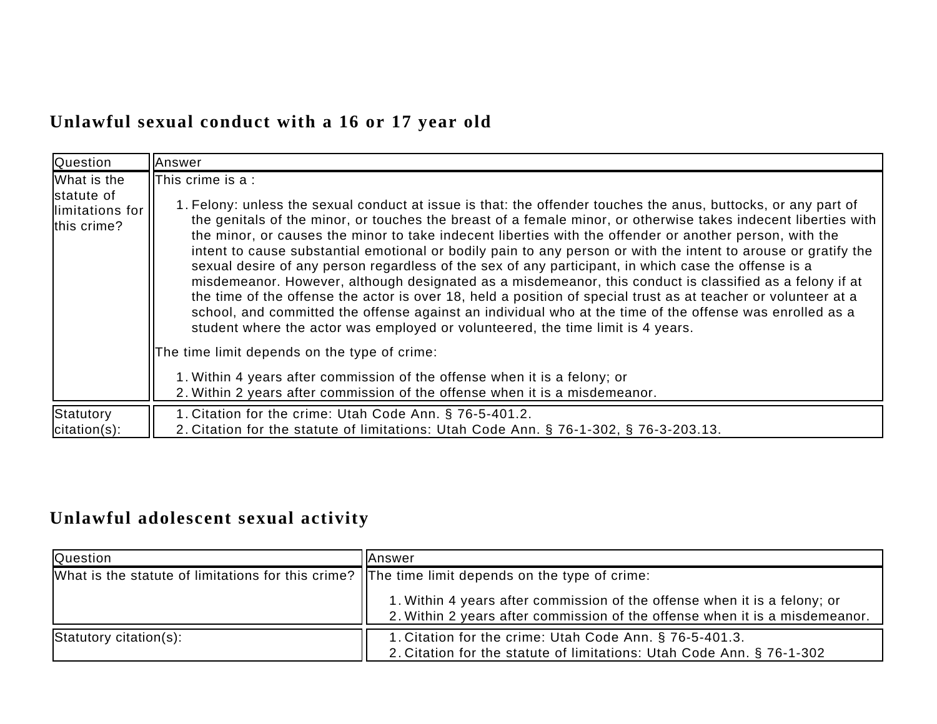# **Unlawful sexual conduct with a 16 or 17 year old**

| Question                                                    | : Answer                                                                                                                                                                                                                                                                                                                                                                                                                                                                                                                                                                                                                                                                                                                                                                                                                                                                                                                                                                                                                                                                                                                                                                                                                            |
|-------------------------------------------------------------|-------------------------------------------------------------------------------------------------------------------------------------------------------------------------------------------------------------------------------------------------------------------------------------------------------------------------------------------------------------------------------------------------------------------------------------------------------------------------------------------------------------------------------------------------------------------------------------------------------------------------------------------------------------------------------------------------------------------------------------------------------------------------------------------------------------------------------------------------------------------------------------------------------------------------------------------------------------------------------------------------------------------------------------------------------------------------------------------------------------------------------------------------------------------------------------------------------------------------------------|
| What is the<br>statute of<br>limitations for<br>this crime? | This crime is a :<br>1. Felony: unless the sexual conduct at issue is that: the offender touches the anus, buttocks, or any part of<br>the genitals of the minor, or touches the breast of a female minor, or otherwise takes indecent liberties with<br>the minor, or causes the minor to take indecent liberties with the offender or another person, with the<br>intent to cause substantial emotional or bodily pain to any person or with the intent to arouse or gratify the<br>sexual desire of any person regardless of the sex of any participant, in which case the offense is a<br>misdemeanor. However, although designated as a misdemeanor, this conduct is classified as a felony if at<br>the time of the offense the actor is over 18, held a position of special trust as at teacher or volunteer at a<br>school, and committed the offense against an individual who at the time of the offense was enrolled as a<br>student where the actor was employed or volunteered, the time limit is 4 years.<br>The time limit depends on the type of crime:<br>1. Within 4 years after commission of the offense when it is a felony; or<br>2. Within 2 years after commission of the offense when it is a misdemeanor. |
| Statutory<br>$citation(s)$ :                                | 1. Citation for the crime: Utah Code Ann. § 76-5-401.2.<br>2. Citation for the statute of limitations: Utah Code Ann. § 76-1-302, § 76-3-203.13.                                                                                                                                                                                                                                                                                                                                                                                                                                                                                                                                                                                                                                                                                                                                                                                                                                                                                                                                                                                                                                                                                    |

# **Unlawful adolescent sexual activity**

| <b>Question</b>                                                                                  | llAnswer                                                                                                                                                 |
|--------------------------------------------------------------------------------------------------|----------------------------------------------------------------------------------------------------------------------------------------------------------|
| What is the statute of limitations for this crime?  The time limit depends on the type of crime: |                                                                                                                                                          |
|                                                                                                  | 1. Within 4 years after commission of the offense when it is a felony; or<br>2. Within 2 years after commission of the offense when it is a misdemeanor. |
| Statutory citation(s):                                                                           | 1. Citation for the crime: Utah Code Ann. § 76-5-401.3.<br>2. Citation for the statute of limitations: Utah Code Ann. § 76-1-302                         |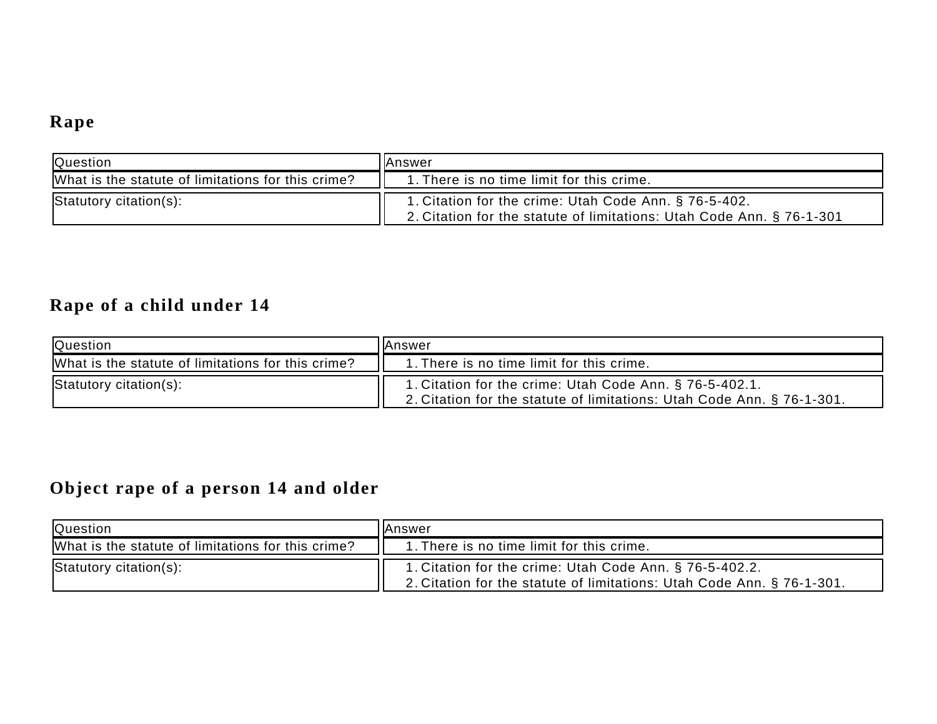# **Rape**

| <b>Question</b>                                    | llAnswer                                                                                                                       |
|----------------------------------------------------|--------------------------------------------------------------------------------------------------------------------------------|
| What is the statute of limitations for this crime? | 1. There is no time limit for this crime.                                                                                      |
| Statutory citation(s):                             | 1. Citation for the crime: Utah Code Ann. § 76-5-402.<br>2. Citation for the statute of limitations: Utah Code Ann. § 76-1-301 |

# **Rape of a child under 14**

| <b>Question</b>                                    | IlAnswer                                                                                                                          |
|----------------------------------------------------|-----------------------------------------------------------------------------------------------------------------------------------|
| What is the statute of limitations for this crime? | 1. There is no time limit for this crime.                                                                                         |
| Statutory citation(s):                             | 1. Citation for the crime: Utah Code Ann. § 76-5-402.1.<br>2. Citation for the statute of limitations: Utah Code Ann. § 76-1-301. |

# **Object rape of a person 14 and older**

| <b>Question</b>                                    | IIAnswer                                                                                                                          |
|----------------------------------------------------|-----------------------------------------------------------------------------------------------------------------------------------|
| What is the statute of limitations for this crime? | 1. There is no time limit for this crime.                                                                                         |
| Statutory citation(s):                             | 1. Citation for the crime: Utah Code Ann. § 76-5-402.2.<br>2. Citation for the statute of limitations: Utah Code Ann. § 76-1-301. |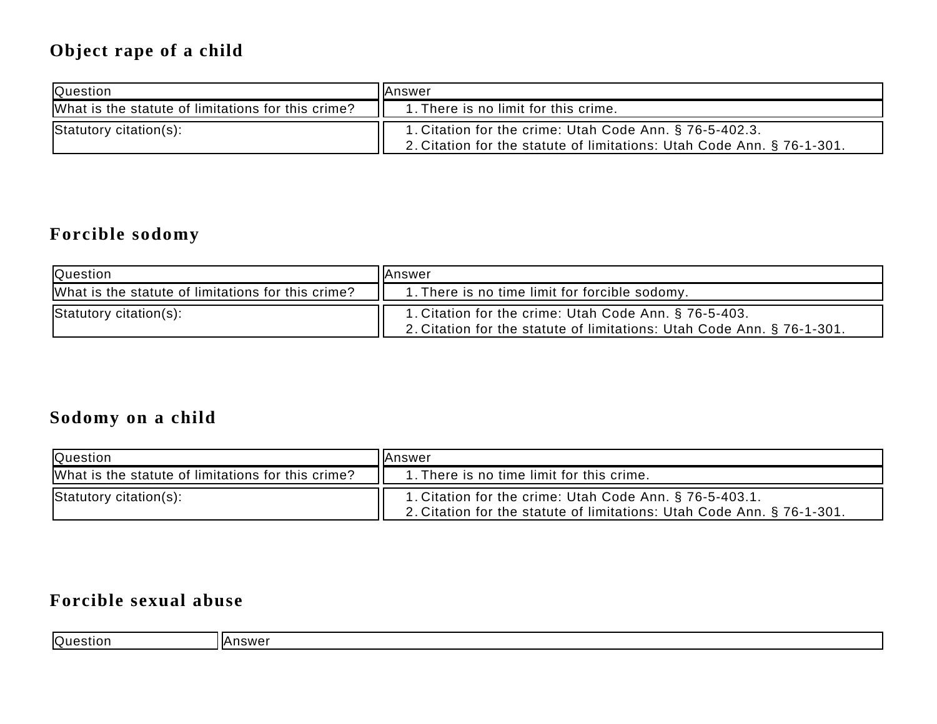# **Object rape of a child**

| <b>Question</b>                                    | IlAnswer                                                                                                                          |
|----------------------------------------------------|-----------------------------------------------------------------------------------------------------------------------------------|
| What is the statute of limitations for this crime? | 1. There is no limit for this crime.                                                                                              |
| Statutory citation(s):                             | 1. Citation for the crime: Utah Code Ann. § 76-5-402.3.<br>2. Citation for the statute of limitations: Utah Code Ann. § 76-1-301. |

# **Forcible sodomy**

| <b>Question</b>                                    | IlAnswer                                                                                                                        |
|----------------------------------------------------|---------------------------------------------------------------------------------------------------------------------------------|
| What is the statute of limitations for this crime? | 1. There is no time limit for forcible sodomy.                                                                                  |
| Statutory citation(s):                             | 1. Citation for the crime: Utah Code Ann. § 76-5-403.<br>2. Citation for the statute of limitations: Utah Code Ann. § 76-1-301. |

# **Sodomy on a child**

| <b>Question</b>                                    | IlAnswer                                                                                                                          |
|----------------------------------------------------|-----------------------------------------------------------------------------------------------------------------------------------|
| What is the statute of limitations for this crime? | 1. There is no time limit for this crime.                                                                                         |
| Statutory citation(s):                             | 1. Citation for the crime: Utah Code Ann. § 76-5-403.1.<br>2. Citation for the statute of limitations: Utah Code Ann. § 76-1-301. |

#### **Forcible sexual abuse**

| lQues | nswer |
|-------|-------|
| 'SHOL | IA.   |
|       |       |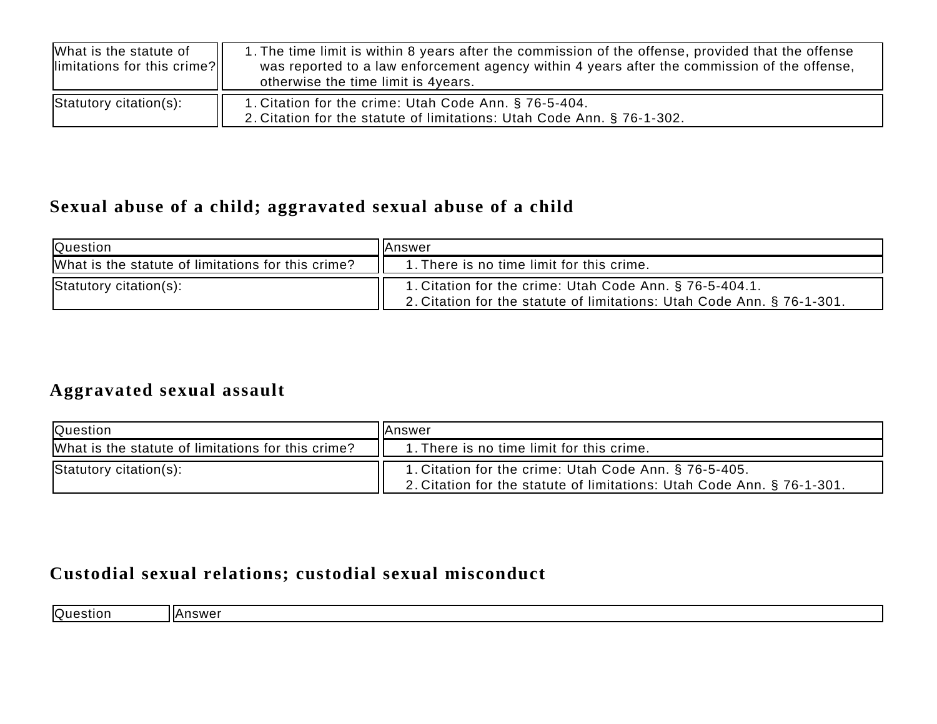| What is the statute of<br>limitations for this crime? | 1. The time limit is within 8 years after the commission of the offense, provided that the offense<br>was reported to a law enforcement agency within 4 years after the commission of the offense,<br>otherwise the time limit is 4years. |
|-------------------------------------------------------|-------------------------------------------------------------------------------------------------------------------------------------------------------------------------------------------------------------------------------------------|
| Statutory citation(s):                                | 1. Citation for the crime: Utah Code Ann. § 76-5-404.<br>2. Citation for the statute of limitations: Utah Code Ann. § 76-1-302.                                                                                                           |

#### **Sexual abuse of a child; aggravated sexual abuse of a child**

| <b>Question</b>                                    | <b>IAnswer</b>                                                                                                                    |
|----------------------------------------------------|-----------------------------------------------------------------------------------------------------------------------------------|
| What is the statute of limitations for this crime? | 1. There is no time limit for this crime.                                                                                         |
| Statutory citation(s):                             | 1. Citation for the crime: Utah Code Ann. § 76-5-404.1.<br>2. Citation for the statute of limitations: Utah Code Ann. § 76-1-301. |

#### **Aggravated sexual assault**

| <b>Question</b>                                    | IlAnswer                                                                                                                        |
|----------------------------------------------------|---------------------------------------------------------------------------------------------------------------------------------|
| What is the statute of limitations for this crime? | 1. There is no time limit for this crime.                                                                                       |
| Statutory citation(s):                             | 1. Citation for the crime: Utah Code Ann. § 76-5-405.<br>2. Citation for the statute of limitations: Utah Code Ann. § 76-1-301. |

#### **Custodial sexual relations; custodial sexual misconduct**

| <b>Question</b> | IlAnswer |
|-----------------|----------|
|                 |          |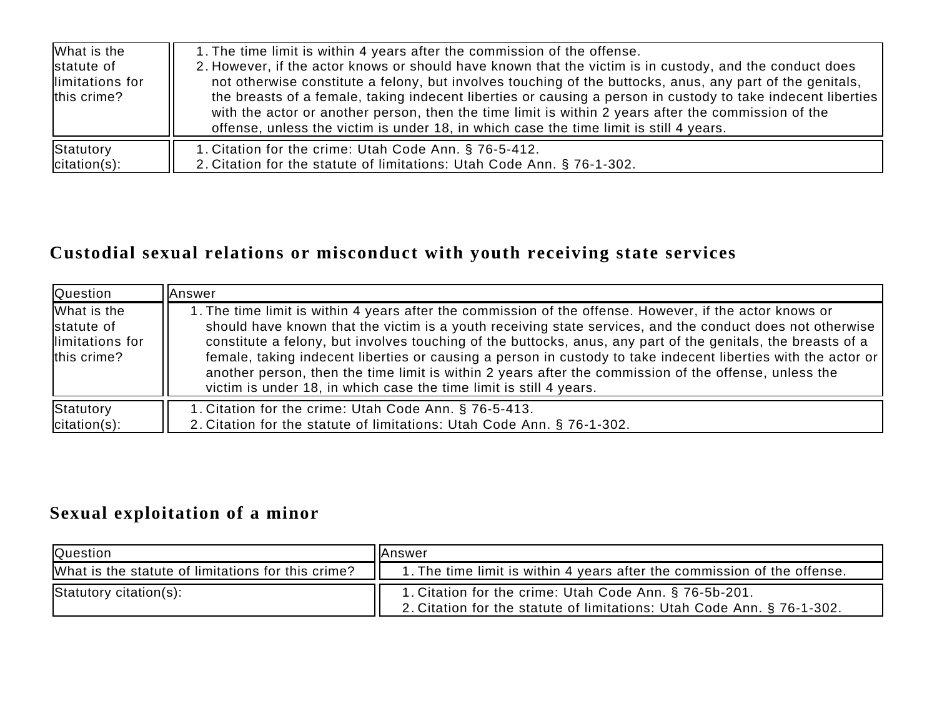| What is the<br>statute of<br>llimitations for<br>this crime? | 1. The time limit is within 4 years after the commission of the offense.<br>2. However, if the actor knows or should have known that the victim is in custody, and the conduct does<br>not otherwise constitute a felony, but involves touching of the buttocks, anus, any part of the genitals,<br>the breasts of a female, taking indecent liberties or causing a person in custody to take indecent liberties<br>with the actor or another person, then the time limit is within 2 years after the commission of the<br>offense, unless the victim is under 18, in which case the time limit is still 4 years. |
|--------------------------------------------------------------|-------------------------------------------------------------------------------------------------------------------------------------------------------------------------------------------------------------------------------------------------------------------------------------------------------------------------------------------------------------------------------------------------------------------------------------------------------------------------------------------------------------------------------------------------------------------------------------------------------------------|
| Statutory                                                    | 1. Citation for the crime: Utah Code Ann. § 76-5-412.                                                                                                                                                                                                                                                                                                                                                                                                                                                                                                                                                             |
| $ citation(s) $ :                                            | 2. Citation for the statute of limitations: Utah Code Ann. § 76-1-302.                                                                                                                                                                                                                                                                                                                                                                                                                                                                                                                                            |

# **Custodial sexual relations or misconduct with youth receiving state services**

| <b>Question</b>                                              | <b>Answer</b>                                                                                                                                                                                                                                                                                                                                                                                                                                                                                                                                                                                                                        |
|--------------------------------------------------------------|--------------------------------------------------------------------------------------------------------------------------------------------------------------------------------------------------------------------------------------------------------------------------------------------------------------------------------------------------------------------------------------------------------------------------------------------------------------------------------------------------------------------------------------------------------------------------------------------------------------------------------------|
| What is the<br>statute of<br>llimitations for<br>this crime? | 1. The time limit is within 4 years after the commission of the offense. However, if the actor knows or<br>should have known that the victim is a youth receiving state services, and the conduct does not otherwise<br>constitute a felony, but involves touching of the buttocks, anus, any part of the genitals, the breasts of a<br>female, taking indecent liberties or causing a person in custody to take indecent liberties with the actor or<br>another person, then the time limit is within 2 years after the commission of the offense, unless the<br>victim is under 18, in which case the time limit is still 4 years. |
| Statutory<br>$citation(s)$ :                                 | 1. Citation for the crime: Utah Code Ann. § 76-5-413.<br>2. Citation for the statute of limitations: Utah Code Ann. § 76-1-302.                                                                                                                                                                                                                                                                                                                                                                                                                                                                                                      |

# **Sexual exploitation of a minor**

| <b>Question</b>                                    | IIAnswer                                                                                                                         |
|----------------------------------------------------|----------------------------------------------------------------------------------------------------------------------------------|
| What is the statute of limitations for this crime? | 1. The time limit is within 4 years after the commission of the offense.                                                         |
| Statutory citation(s):                             | 1. Citation for the crime: Utah Code Ann. § 76-5b-201.<br>2. Citation for the statute of limitations: Utah Code Ann. § 76-1-302. |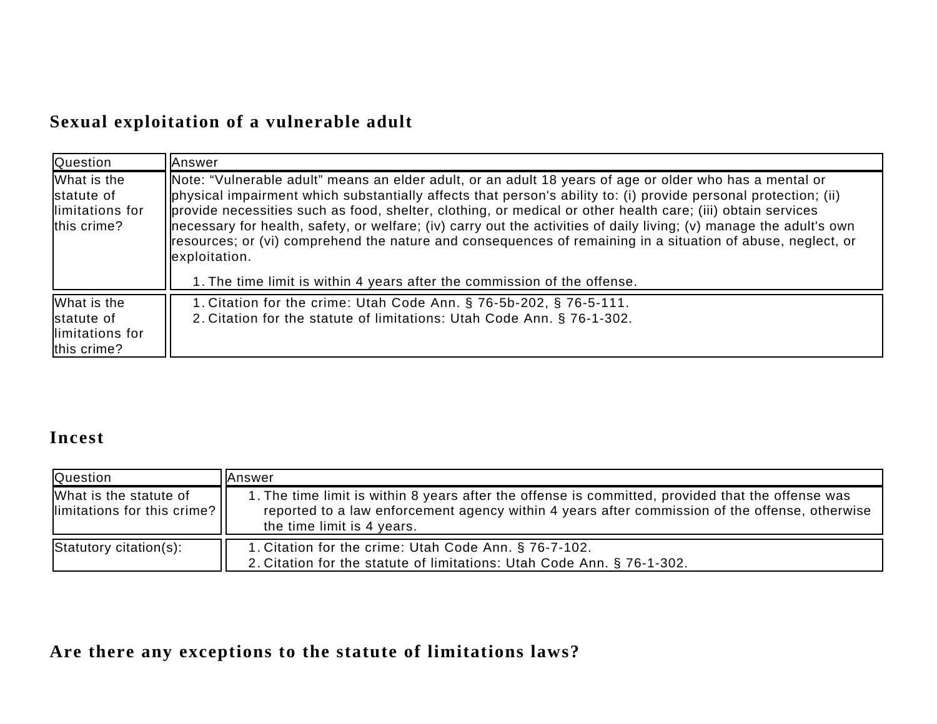# **Sexual exploitation of a vulnerable adult**

| <b>Question</b>                                               | Answer                                                                                                                                                                                                                                                                                                                                                                                                                                                                                                                                                                                             |  |
|---------------------------------------------------------------|----------------------------------------------------------------------------------------------------------------------------------------------------------------------------------------------------------------------------------------------------------------------------------------------------------------------------------------------------------------------------------------------------------------------------------------------------------------------------------------------------------------------------------------------------------------------------------------------------|--|
| What is the<br>Istatute of<br>llimitations for<br>this crime? | Note: "Vulnerable adult" means an elder adult, or an adult 18 years of age or older who has a mental or<br>  physical impairment which substantially affects that person's ability to: (i) provide personal protection; (ii)<br>provide necessities such as food, shelter, clothing, or medical or other health care; (iii) obtain services<br>necessary for health, safety, or welfare; (iv) carry out the activities of daily living; (v) manage the adult's own<br>resources; or (vi) comprehend the nature and consequences of remaining in a situation of abuse, neglect, or<br>exploitation. |  |
|                                                               | 1. The time limit is within 4 years after the commission of the offense.                                                                                                                                                                                                                                                                                                                                                                                                                                                                                                                           |  |
| What is the<br>Istatute of<br>llimitations for<br>this crime? | 1. Citation for the crime: Utah Code Ann. § 76-5b-202, § 76-5-111.<br>2. Citation for the statute of limitations: Utah Code Ann. § 76-1-302.                                                                                                                                                                                                                                                                                                                                                                                                                                                       |  |

#### **Incest**

| <b>Question</b>                                       | lAnswer                                                                                                                                                                                                                           |
|-------------------------------------------------------|-----------------------------------------------------------------------------------------------------------------------------------------------------------------------------------------------------------------------------------|
| What is the statute of<br>limitations for this crime? | 1. The time limit is within 8 years after the offense is committed, provided that the offense was<br>reported to a law enforcement agency within 4 years after commission of the offense, otherwise<br>the time limit is 4 years. |
| Statutory citation(s):                                | 1. Citation for the crime: Utah Code Ann. § 76-7-102.<br>2. Citation for the statute of limitations: Utah Code Ann. § 76-1-302.                                                                                                   |

#### **Are there any exceptions to the statute of limitations laws?**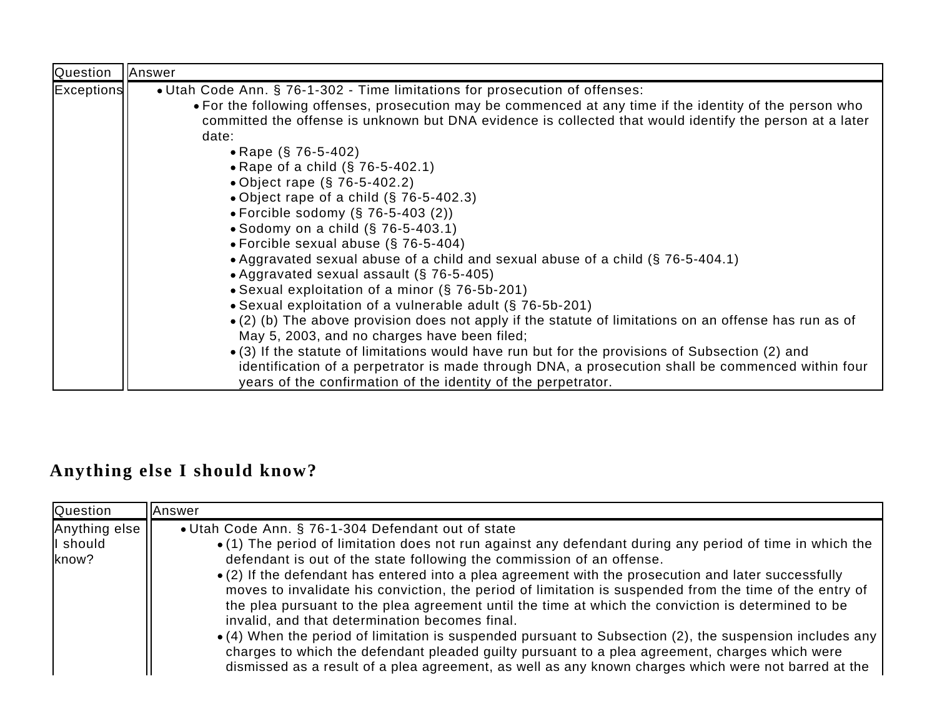| Question<br>Answer                                                                                                                                                                                                                                                                                                                                                                                                                                                                                                                                                                                                                                                                                                                                                                                                                                                                                                                                                                                                                                                                                                                                                                                                                 |  |
|------------------------------------------------------------------------------------------------------------------------------------------------------------------------------------------------------------------------------------------------------------------------------------------------------------------------------------------------------------------------------------------------------------------------------------------------------------------------------------------------------------------------------------------------------------------------------------------------------------------------------------------------------------------------------------------------------------------------------------------------------------------------------------------------------------------------------------------------------------------------------------------------------------------------------------------------------------------------------------------------------------------------------------------------------------------------------------------------------------------------------------------------------------------------------------------------------------------------------------|--|
| Exceptions<br>• Utah Code Ann. § 76-1-302 - Time limitations for prosecution of offenses:<br>• For the following offenses, prosecution may be commenced at any time if the identity of the person who<br>committed the offense is unknown but DNA evidence is collected that would identify the person at a later<br>date:<br>• Rape $(\S$ 76-5-402)<br>• Rape of a child (§ 76-5-402.1)<br>• Object rape $(\S 76 - 5 - 402.2)$<br>• Object rape of a child $(\S$ 76-5-402.3)<br>• Forcible sodomy $(\S 76 - 5 - 403 (2))$<br>• Sodomy on a child $(S$ 76-5-403.1)<br>• Forcible sexual abuse (§ 76-5-404)<br>• Aggravated sexual abuse of a child and sexual abuse of a child (§ 76-5-404.1)<br>• Aggravated sexual assault (§ 76-5-405)<br>• Sexual exploitation of a minor (§ 76-5b-201)<br>• Sexual exploitation of a vulnerable adult (§ 76-5b-201)<br>• (2) (b) The above provision does not apply if the statute of limitations on an offense has run as of<br>May 5, 2003, and no charges have been filed;<br>$\bullet$ (3) If the statute of limitations would have run but for the provisions of Subsection (2) and<br>identification of a perpetrator is made through DNA, a prosecution shall be commenced within four |  |

# **Anything else I should know?**

| <b>Question</b> | lAnswer                                                                                                                                                                                                                                                                                                                                                                         |
|-----------------|---------------------------------------------------------------------------------------------------------------------------------------------------------------------------------------------------------------------------------------------------------------------------------------------------------------------------------------------------------------------------------|
| Anything else   | • Utah Code Ann. § 76-1-304 Defendant out of state                                                                                                                                                                                                                                                                                                                              |
| ll should       | • (1) The period of limitation does not run against any defendant during any period of time in which the                                                                                                                                                                                                                                                                        |
| know?           | defendant is out of the state following the commission of an offense.                                                                                                                                                                                                                                                                                                           |
|                 | $\bullet$ (2) If the defendant has entered into a plea agreement with the prosecution and later successfully<br>moves to invalidate his conviction, the period of limitation is suspended from the time of the entry of<br>the plea pursuant to the plea agreement until the time at which the conviction is determined to be<br>invalid, and that determination becomes final. |
|                 | $\bullet$ (4) When the period of limitation is suspended pursuant to Subsection (2), the suspension includes any<br>charges to which the defendant pleaded guilty pursuant to a plea agreement, charges which were<br>dismissed as a result of a plea agreement, as well as any known charges which were not barred at the                                                      |